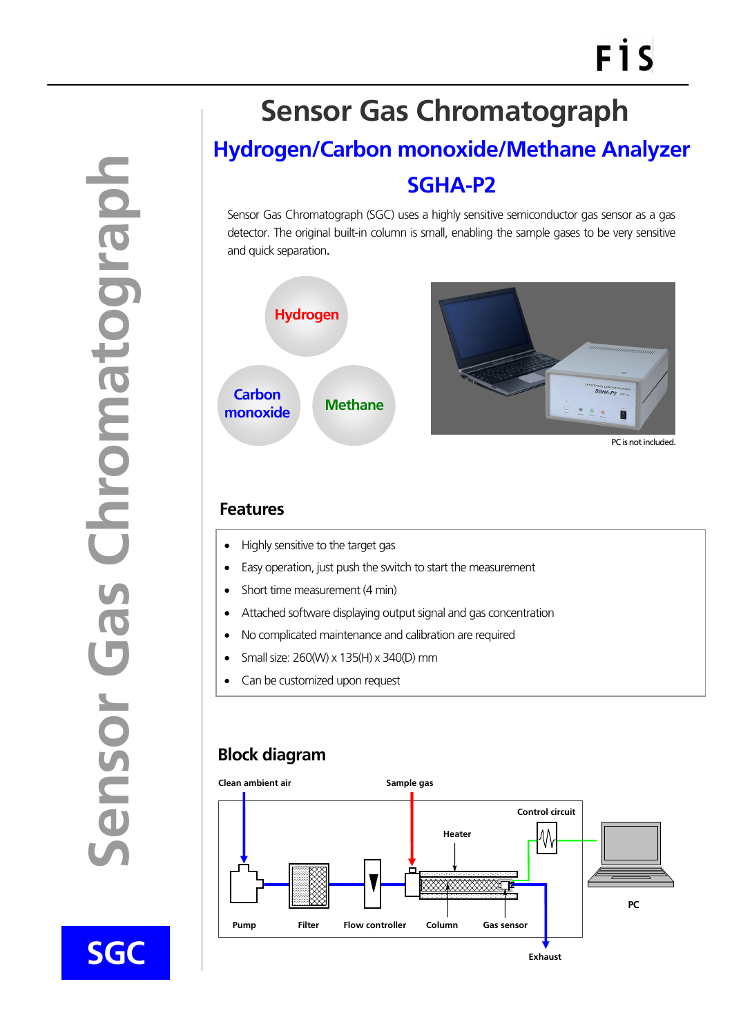**Sensor Gas Chromatograph**  dogrouond se ensor

**SGC** 

 $\overline{a}$ 

## **Hydrogen/Carbon monoxide/Methane Analyzer Sensor Gas Chromatograph**

# **SGHA-P2**

Sensor Gas Chromatograph (SGC) uses a highly sensitive semiconductor gas sensor as a gas detector. The original built-in column is small, enabling the sample gases to be very sensitive and quick separation.



#### **Features**

- Highly sensitive to the target gas
- Easy operation, just push the switch to start the measurement
- Short time measurement (4 min)
- Attached software displaying output signal and gas concentration
- No complicated maintenance and calibration are required
- Small size: 260(W) x 135(H) x 340(D) mm
- Can be customized upon request

### **Block diagram**